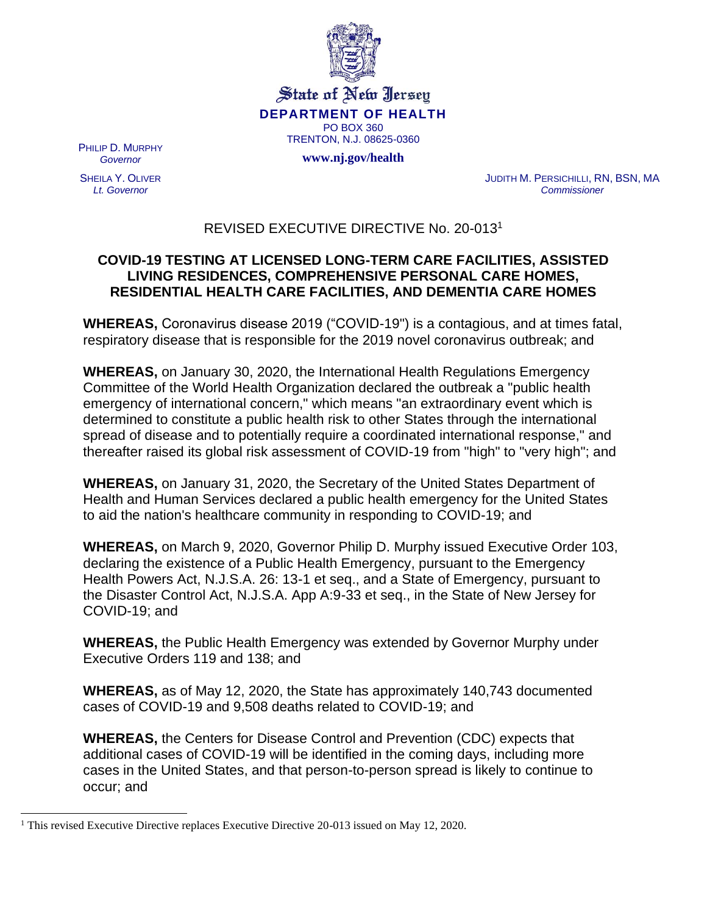

State of New Jersey **DEPARTMENT OF HEALTH** PO BOX 360 TRENTON, N.J. 08625-0360

**www.nj.gov/health**

PHILIP D. MURPHY *Governor*

SHEILA Y. OLIVER *Lt. Governor*

JUDITH M. PERSICHILLI, RN, BSN, MA *Commissioner*

## REVISED EXECUTIVE DIRECTIVE No. 20-013<sup>1</sup>

## **COVID-19 TESTING AT LICENSED LONG-TERM CARE FACILITIES, ASSISTED LIVING RESIDENCES, COMPREHENSIVE PERSONAL CARE HOMES, RESIDENTIAL HEALTH CARE FACILITIES, AND DEMENTIA CARE HOMES**

**WHEREAS,** Coronavirus disease 2019 ("COVID-19") is a contagious, and at times fatal, respiratory disease that is responsible for the 2019 novel coronavirus outbreak; and

**WHEREAS,** on January 30, 2020, the International Health Regulations Emergency Committee of the World Health Organization declared the outbreak a "public health emergency of international concern," which means "an extraordinary event which is determined to constitute a public health risk to other States through the international spread of disease and to potentially require a coordinated international response," and thereafter raised its global risk assessment of COVID-19 from "high" to "very high"; and

**WHEREAS,** on January 31, 2020, the Secretary of the United States Department of Health and Human Services declared a public health emergency for the United States to aid the nation's healthcare community in responding to COVID-19; and

**WHEREAS,** on March 9, 2020, Governor Philip D. Murphy issued Executive Order 103, declaring the existence of a Public Health Emergency, pursuant to the Emergency Health Powers Act, N.J.S.A. 26: 13-1 et seq., and a State of Emergency, pursuant to the Disaster Control Act, N.J.S.A. App A:9-33 et seq., in the State of New Jersey for COVID-19; and

**WHEREAS,** the Public Health Emergency was extended by Governor Murphy under Executive Orders 119 and 138; and

**WHEREAS,** as of May 12, 2020, the State has approximately 140,743 documented cases of COVID-19 and 9,508 deaths related to COVID-19; and

**WHEREAS,** the Centers for Disease Control and Prevention (CDC) expects that additional cases of COVID-19 will be identified in the coming days, including more cases in the United States, and that person-to-person spread is likely to continue to occur; and

<sup>&</sup>lt;sup>1</sup> This revised Executive Directive replaces Executive Directive 20-013 issued on May 12, 2020.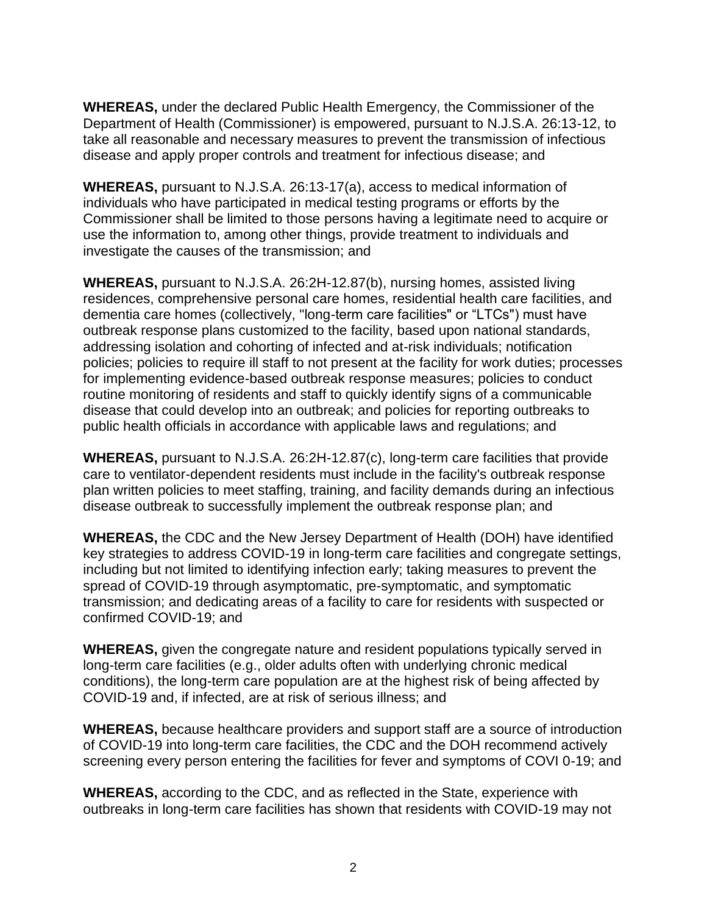**WHEREAS,** under the declared Public Health Emergency, the Commissioner of the Department of Health (Commissioner) is empowered, pursuant to N.J.S.A. 26:13-12, to take all reasonable and necessary measures to prevent the transmission of infectious disease and apply proper controls and treatment for infectious disease; and

**WHEREAS,** pursuant to N.J.S.A. 26:13-17(a), access to medical information of individuals who have participated in medical testing programs or efforts by the Commissioner shall be limited to those persons having a legitimate need to acquire or use the information to, among other things, provide treatment to individuals and investigate the causes of the transmission; and

**WHEREAS,** pursuant to N.J.S.A. 26:2H-12.87(b), nursing homes, assisted living residences, comprehensive personal care homes, residential health care facilities, and dementia care homes (collectively, "long-term care facilities" or "LTCs") must have outbreak response plans customized to the facility, based upon national standards, addressing isolation and cohorting of infected and at-risk individuals; notification policies; policies to require ill staff to not present at the facility for work duties; processes for implementing evidence-based outbreak response measures; policies to conduct routine monitoring of residents and staff to quickly identify signs of a communicable disease that could develop into an outbreak; and policies for reporting outbreaks to public health officials in accordance with applicable laws and regulations; and

**WHEREAS,** pursuant to N.J.S.A. 26:2H-12.87(c), long-term care facilities that provide care to ventilator-dependent residents must include in the facility's outbreak response plan written policies to meet staffing, training, and facility demands during an infectious disease outbreak to successfully implement the outbreak response plan; and

**WHEREAS,** the CDC and the New Jersey Department of Health (DOH) have identified key strategies to address COVID-19 in long-term care facilities and congregate settings, including but not limited to identifying infection early; taking measures to prevent the spread of COVID-19 through asymptomatic, pre-symptomatic, and symptomatic transmission; and dedicating areas of a facility to care for residents with suspected or confirmed COVID-19; and

**WHEREAS,** given the congregate nature and resident populations typically served in long-term care facilities (e.g., older adults often with underlying chronic medical conditions), the long-term care population are at the highest risk of being affected by COVID-19 and, if infected, are at risk of serious illness; and

**WHEREAS,** because healthcare providers and support staff are a source of introduction of COVID-19 into long-term care facilities, the CDC and the DOH recommend actively screening every person entering the facilities for fever and symptoms of COVI 0-19; and

**WHEREAS,** according to the CDC, and as reflected in the State, experience with outbreaks in long-term care facilities has shown that residents with COVID-19 may not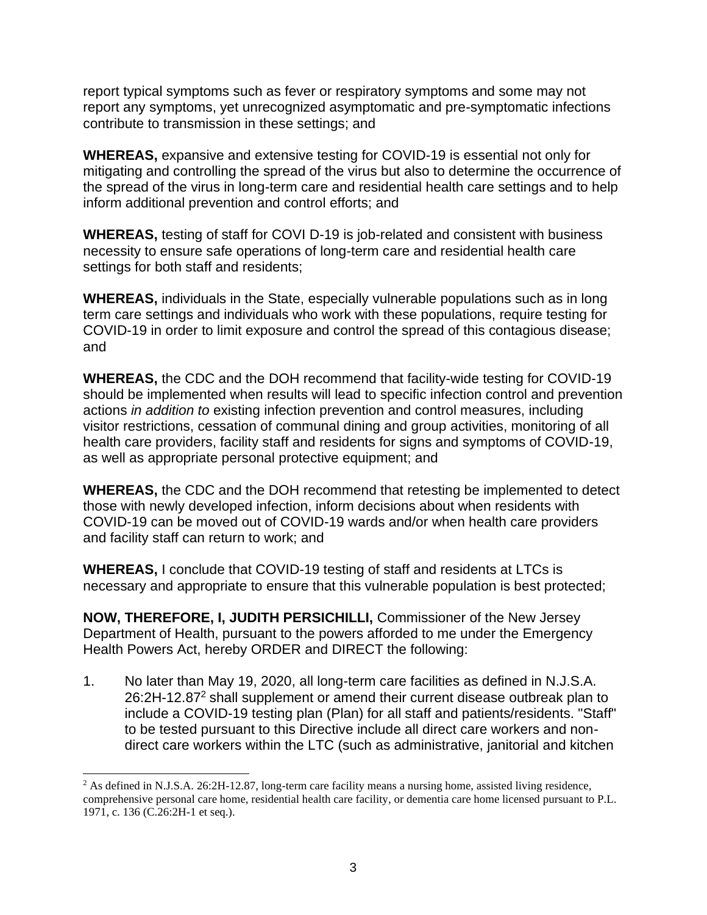report typical symptoms such as fever or respiratory symptoms and some may not report any symptoms, yet unrecognized asymptomatic and pre-symptomatic infections contribute to transmission in these settings; and

**WHEREAS,** expansive and extensive testing for COVID-19 is essential not only for mitigating and controlling the spread of the virus but also to determine the occurrence of the spread of the virus in long-term care and residential health care settings and to help inform additional prevention and control efforts; and

**WHEREAS,** testing of staff for COVI D-19 is job-related and consistent with business necessity to ensure safe operations of long-term care and residential health care settings for both staff and residents;

**WHEREAS,** individuals in the State, especially vulnerable populations such as in long term care settings and individuals who work with these populations, require testing for COVID-19 in order to limit exposure and control the spread of this contagious disease; and

**WHEREAS,** the CDC and the DOH recommend that facility-wide testing for COVID-19 should be implemented when results will lead to specific infection control and prevention actions *in addition to* existing infection prevention and control measures, including visitor restrictions, cessation of communal dining and group activities, monitoring of all health care providers, facility staff and residents for signs and symptoms of COVID-19, as well as appropriate personal protective equipment; and

**WHEREAS,** the CDC and the DOH recommend that retesting be implemented to detect those with newly developed infection, inform decisions about when residents with COVID-19 can be moved out of COVID-19 wards and/or when health care providers and facility staff can return to work; and

**WHEREAS,** I conclude that COVID-19 testing of staff and residents at LTCs is necessary and appropriate to ensure that this vulnerable population is best protected;

**NOW, THEREFORE, I, JUDITH PERSICHILLI,** Commissioner of the New Jersey Department of Health, pursuant to the powers afforded to me under the Emergency Health Powers Act, hereby ORDER and DIRECT the following:

1. No later than May 19, 2020, all long-term care facilities as defined in N.J.S.A. 26:2H-12.87<sup>2</sup> shall supplement or amend their current disease outbreak plan to include a COVID-19 testing plan (Plan) for all staff and patients/residents. "Staff" to be tested pursuant to this Directive include all direct care workers and nondirect care workers within the LTC (such as administrative, janitorial and kitchen

<sup>&</sup>lt;sup>2</sup> As defined in N.J.S.A. 26:2H-12.87, long-term care facility means a nursing home, assisted living residence, comprehensive personal care home, residential health care facility, or dementia care home licensed pursuant to P.L. 1971, c. 136 (C.26:2H-1 et seq.).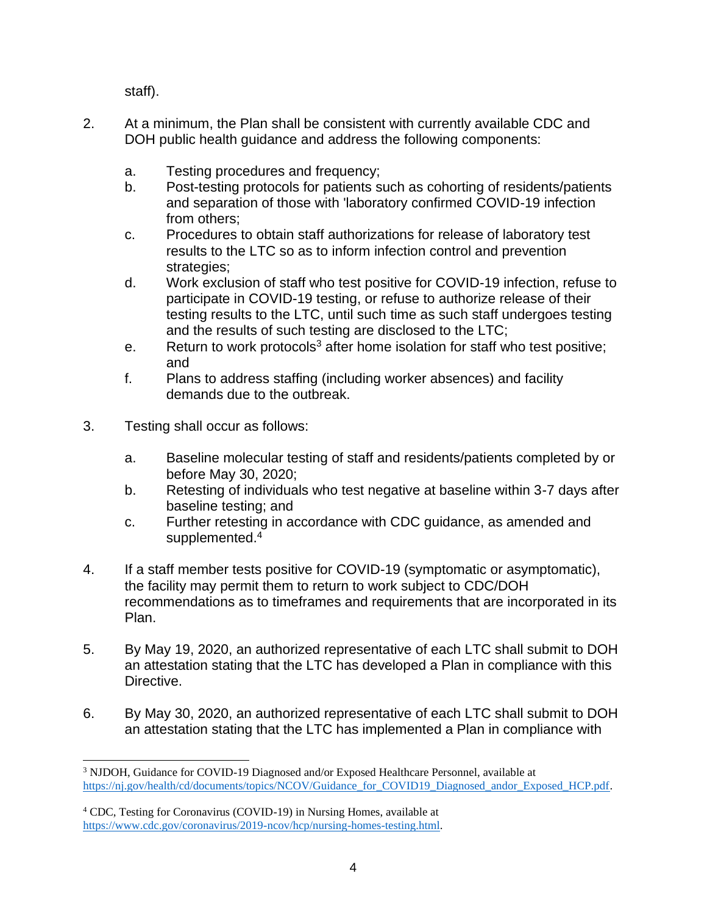staff).

- 2. At a minimum, the Plan shall be consistent with currently available CDC and DOH public health guidance and address the following components:
	- a. Testing procedures and frequency;
	- b. Post-testing protocols for patients such as cohorting of residents/patients and separation of those with 'laboratory confirmed COVID-19 infection from others;
	- c. Procedures to obtain staff authorizations for release of laboratory test results to the LTC so as to inform infection control and prevention strategies;
	- d. Work exclusion of staff who test positive for COVID-19 infection, refuse to participate in COVID-19 testing, or refuse to authorize release of their testing results to the LTC, until such time as such staff undergoes testing and the results of such testing are disclosed to the LTC;
	- e. Return to work protocols<sup>3</sup> after home isolation for staff who test positive; and
	- f. Plans to address staffing (including worker absences) and facility demands due to the outbreak.
- 3. Testing shall occur as follows:
	- a. Baseline molecular testing of staff and residents/patients completed by or before May 30, 2020;
	- b. Retesting of individuals who test negative at baseline within 3-7 days after baseline testing; and
	- c. Further retesting in accordance with CDC guidance, as amended and supplemented.<sup>4</sup>
- 4. If a staff member tests positive for COVID-19 (symptomatic or asymptomatic), the facility may permit them to return to work subject to CDC/DOH recommendations as to timeframes and requirements that are incorporated in its Plan.
- 5. By May 19, 2020, an authorized representative of each LTC shall submit to DOH an attestation stating that the LTC has developed a Plan in compliance with this Directive.
- 6. By May 30, 2020, an authorized representative of each LTC shall submit to DOH an attestation stating that the LTC has implemented a Plan in compliance with

<sup>3</sup> NJDOH, Guidance for COVID-19 Diagnosed and/or Exposed Healthcare Personnel, available at [https://nj.gov/health/cd/documents/topics/NCOV/Guidance\\_for\\_COVID19\\_Diagnosed\\_andor\\_Exposed\\_HCP.pdf.](https://nj.gov/health/cd/documents/topics/NCOV/Guidance_for_COVID19_Diagnosed_andor_Exposed_HCP.pdf)

<sup>4</sup> CDC, Testing for Coronavirus (COVID-19) in Nursing Homes, available at [https://www.cdc.gov/coronavirus/2019-ncov/hcp/nursing-homes-testing.html.](https://www.cdc.gov/coronavirus/2019-ncov/hcp/nursing-homes-testing.html)